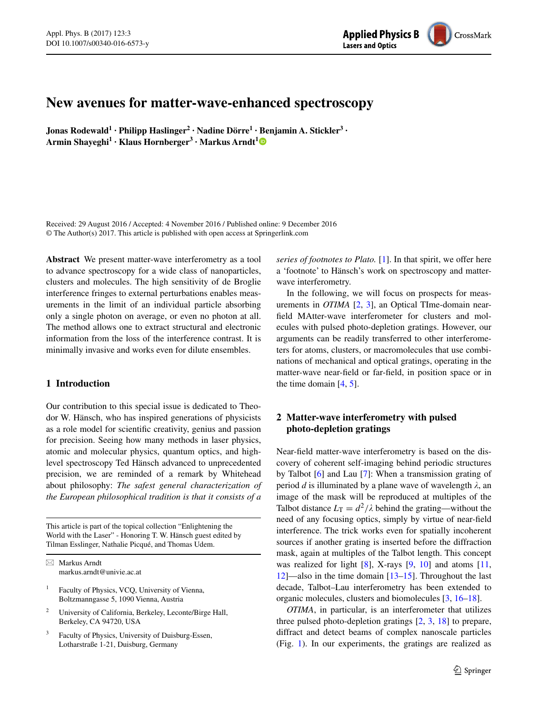# **New avenues for matter‑wave‑enhanced spectroscopy**

**Jonas Rodewald1 · Philipp Haslinger2 · Nadine Dörre<sup>1</sup> · Benjamin A. Stickler3 · Armin Shayeghi<sup>1</sup> · Klaus Hornberger<sup>3</sup> · Markus Arndt[1](http://orcid.org/0000-0002-9487-4985)**

Received: 29 August 2016 / Accepted: 4 November 2016 / Published online: 9 December 2016 © The Author(s) 2017. This article is published with open access at Springerlink.com

**Abstract** We present matter-wave interferometry as a tool to advance spectroscopy for a wide class of nanoparticles, clusters and molecules. The high sensitivity of de Broglie interference fringes to external perturbations enables measurements in the limit of an individual particle absorbing only a single photon on average, or even no photon at all. The method allows one to extract structural and electronic information from the loss of the interference contrast. It is minimally invasive and works even for dilute ensembles.

# **1 Introduction**

Our contribution to this special issue is dedicated to Theodor W. Hänsch, who has inspired generations of physicists as a role model for scientific creativity, genius and passion for precision. Seeing how many methods in laser physics, atomic and molecular physics, quantum optics, and highlevel spectroscopy Ted Hänsch advanced to unprecedented precision, we are reminded of a remark by Whitehead about philosophy: *The safest general characterization of the European philosophical tradition is that it consists of a* 

This article is part of the topical collection "Enlightening the World with the Laser" - Honoring T. W. Hänsch guest edited by Tilman Esslinger, Nathalie Picqué, and Thomas Udem.

 $\boxtimes$  Markus Arndt markus.arndt@univie.ac.at

- <sup>1</sup> Faculty of Physics, VCQ, University of Vienna, Boltzmanngasse 5, 1090 Vienna, Austria
- <sup>2</sup> University of California, Berkeley, Leconte/Birge Hall, Berkeley, CA 94720, USA
- Faculty of Physics, University of Duisburg-Essen, Lotharstraße 1-21, Duisburg, Germany

*series of footnotes to Plato.* [[1\]](#page-6-0). In that spirit, we offer here a 'footnote' to Hänsch's work on spectroscopy and matterwave interferometry.

In the following, we will focus on prospects for measurements in *OTIMA* [\[2](#page-6-1), [3](#page-6-2)], an Optical TIme-domain nearfield MAtter-wave interferometer for clusters and molecules with pulsed photo-depletion gratings. However, our arguments can be readily transferred to other interferometers for atoms, clusters, or macromolecules that use combinations of mechanical and optical gratings, operating in the matter-wave near-field or far-field, in position space or in the time domain [[4,](#page-6-3) [5\]](#page-6-4).

# **2 Matter‑wave interferometry with pulsed photo‑depletion gratings**

Near-field matter-wave interferometry is based on the discovery of coherent self-imaging behind periodic structures by Talbot [[6\]](#page-6-5) and Lau [\[7](#page-6-6)]: When a transmission grating of period *d* is illuminated by a plane wave of wavelength  $\lambda$ , an image of the mask will be reproduced at multiples of the Talbot distance  $L_T = d^2/\lambda$  behind the grating—without the need of any focusing optics, simply by virtue of near-field interference. The trick works even for spatially incoherent sources if another grating is inserted before the diffraction mask, again at multiples of the Talbot length. This concept was realized for light  $[8]$  $[8]$ , X-rays  $[9, 10]$  $[9, 10]$  $[9, 10]$  $[9, 10]$  $[9, 10]$  and atoms  $[11]$ , [12](#page-6-11)]—also in the time domain [\[13](#page-6-12)[–15](#page-6-13)]. Throughout the last decade, Talbot–Lau interferometry has been extended to organic molecules, clusters and biomolecules [\[3](#page-6-2), [16](#page-6-14)[–18](#page-6-15)].

*OTIMA*, in particular, is an interferometer that utilizes three pulsed photo-depletion gratings [\[2](#page-6-1), [3,](#page-6-2) [18\]](#page-6-15) to prepare, diffract and detect beams of complex nanoscale particles (Fig. [1\)](#page-2-0). In our experiments, the gratings are realized as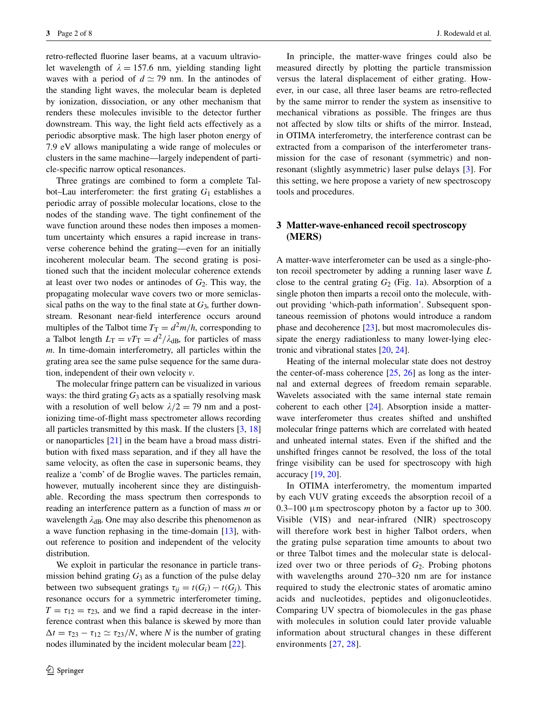retro-reflected fluorine laser beams, at a vacuum ultraviolet wavelength of  $\lambda = 157.6$  nm, yielding standing light waves with a period of  $d \simeq 79$  nm. In the antinodes of the standing light waves, the molecular beam is depleted by ionization, dissociation, or any other mechanism that renders these molecules invisible to the detector further downstream. This way, the light field acts effectively as a periodic absorptive mask. The high laser photon energy of 7.9 eV allows manipulating a wide range of molecules or clusters in the same machine—largely independent of particle-specific narrow optical resonances.

Three gratings are combined to form a complete Talbot–Lau interferometer: the first grating *G*1 establishes a periodic array of possible molecular locations, close to the nodes of the standing wave. The tight confinement of the wave function around these nodes then imposes a momentum uncertainty which ensures a rapid increase in transverse coherence behind the grating—even for an initially incoherent molecular beam. The second grating is positioned such that the incident molecular coherence extends at least over two nodes or antinodes of *G*2. This way, the propagating molecular wave covers two or more semiclassical paths on the way to the final state at  $G_3$ , further downstream. Resonant near-field interference occurs around multiples of the Talbot time  $T_T = d^2m/h$ , corresponding to a Talbot length  $L_T = vT_T = d^2/\lambda_{dB}$ , for particles of mass *m*. In time-domain interferometry, all particles within the grating area see the same pulse sequence for the same duration, independent of their own velocity *v*.

The molecular fringe pattern can be visualized in various ways: the third grating  $G_3$  acts as a spatially resolving mask with a resolution of well below  $\lambda/2 = 79$  nm and a postionizing time-of-flight mass spectrometer allows recording all particles transmitted by this mask. If the clusters [[3,](#page-6-2) [18\]](#page-6-15) or nanoparticles [[21\]](#page-6-16) in the beam have a broad mass distribution with fixed mass separation, and if they all have the same velocity, as often the case in supersonic beams, they realize a 'comb' of de Broglie waves. The particles remain, however, mutually incoherent since they are distinguishable. Recording the mass spectrum then corresponds to reading an interference pattern as a function of mass *m* or wavelength  $\lambda_{dB}$ . One may also describe this phenomenon as a wave function rephasing in the time-domain [[13\]](#page-6-12), without reference to position and independent of the velocity distribution.

We exploit in particular the resonance in particle transmission behind grating  $G_3$  as a function of the pulse delay between two subsequent gratings  $\tau_{ii} = t(G_i) - t(G_i)$ . This resonance occurs for a symmetric interferometer timing,  $T = \tau_{12} = \tau_{23}$ , and we find a rapid decrease in the interference contrast when this balance is skewed by more than  $\Delta t = \tau_{23} - \tau_{12} \simeq \tau_{23}/N$ , where *N* is the number of grating nodes illuminated by the incident molecular beam [[22\]](#page-6-17).

In principle, the matter-wave fringes could also be measured directly by plotting the particle transmission versus the lateral displacement of either grating. However, in our case, all three laser beams are retro-reflected by the same mirror to render the system as insensitive to mechanical vibrations as possible. The fringes are thus not affected by slow tilts or shifts of the mirror. Instead, in OTIMA interferometry, the interference contrast can be extracted from a comparison of the interferometer transmission for the case of resonant (symmetric) and nonresonant (slightly asymmetric) laser pulse delays [[3\]](#page-6-2). For this setting, we here propose a variety of new spectroscopy tools and procedures.

### <span id="page-1-0"></span>**3 Matter‑wave‑enhanced recoil spectroscopy (MERS)**

A matter-wave interferometer can be used as a single-photon recoil spectrometer by adding a running laser wave *L* close to the central grating *G*2 (Fig. [1a](#page-2-0)). Absorption of a single photon then imparts a recoil onto the molecule, without providing 'which-path information'. Subsequent spontaneous reemission of photons would introduce a random phase and decoherence [[23\]](#page-6-18), but most macromolecules dissipate the energy radiationless to many lower-lying electronic and vibrational states [[20,](#page-6-19) [24\]](#page-6-20).

Heating of the internal molecular state does not destroy the center-of-mass coherence [\[25](#page-6-21), [26\]](#page-6-22) as long as the internal and external degrees of freedom remain separable. Wavelets associated with the same internal state remain coherent to each other [[24\]](#page-6-20). Absorption inside a matterwave interferometer thus creates shifted and unshifted molecular fringe patterns which are correlated with heated and unheated internal states. Even if the shifted and the unshifted fringes cannot be resolved, the loss of the total fringe visibility can be used for spectroscopy with high accuracy [\[19](#page-6-23), [20](#page-6-19)].

In OTIMA interferometry, the momentum imparted by each VUV grating exceeds the absorption recoil of a  $0.3-100 \mu m$  spectroscopy photon by a factor up to 300. Visible (VIS) and near-infrared (NIR) spectroscopy will therefore work best in higher Talbot orders, when the grating pulse separation time amounts to about two or three Talbot times and the molecular state is delocalized over two or three periods of  $G_2$ . Probing photons with wavelengths around 270–320 nm are for instance required to study the electronic states of aromatic amino acids and nucleotides, peptides and oligonucleotides. Comparing UV spectra of biomolecules in the gas phase with molecules in solution could later provide valuable information about structural changes in these different environments [[27](#page-6-24), [28](#page-6-25)].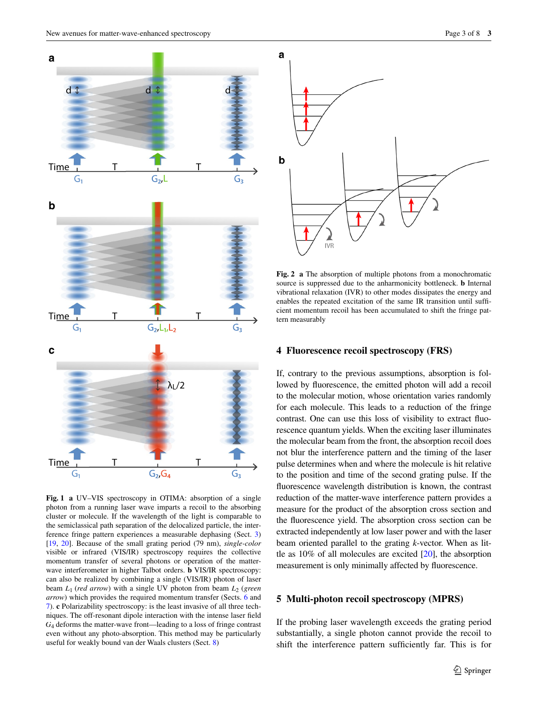

<span id="page-2-0"></span>**Fig. 1 a** UV–VIS spectroscopy in OTIMA: absorption of a single photon from a running laser wave imparts a recoil to the absorbing cluster or molecule. If the wavelength of the light is comparable to the semiclassical path separation of the delocalized particle, the interference fringe pattern experiences a measurable dephasing (Sect. [3](#page-1-0)) [[19](#page-6-23), [20](#page-6-19)]. Because of the small grating period (79 nm), *single-color* visible or infrared (VIS/IR) spectroscopy requires the collective momentum transfer of several photons or operation of the matterwave interferometer in higher Talbot orders. **b** VIS/IR spectroscopy: can also be realized by combining a single (VIS/IR) photon of laser beam *L*1 (*red arrow*) with a single UV photon from beam *L*2 (*green arrow*) which provides the required momentum transfer (Sects. [6](#page-3-0) and [7](#page-3-1)). **c** Polarizability spectroscopy: is the least invasive of all three techniques. The off-resonant dipole interaction with the intense laser field *G*4 deforms the matter-wave front—leading to a loss of fringe contrast even without any photo-absorption. This method may be particularly useful for weakly bound van der Waals clusters (Sect. [8\)](#page-4-0)



<span id="page-2-1"></span>**Fig. 2 a** The absorption of multiple photons from a monochromatic source is suppressed due to the anharmonicity bottleneck. **b** Internal vibrational relaxation (IVR) to other modes dissipates the energy and enables the repeated excitation of the same IR transition until sufficient momentum recoil has been accumulated to shift the fringe pattern measurably

#### **4 Fluorescence recoil spectroscopy (FRS)**

If, contrary to the previous assumptions, absorption is followed by fluorescence, the emitted photon will add a recoil to the molecular motion, whose orientation varies randomly for each molecule. This leads to a reduction of the fringe contrast. One can use this loss of visibility to extract fluorescence quantum yields. When the exciting laser illuminates the molecular beam from the front, the absorption recoil does not blur the interference pattern and the timing of the laser pulse determines when and where the molecule is hit relative to the position and time of the second grating pulse. If the fluorescence wavelength distribution is known, the contrast reduction of the matter-wave interference pattern provides a measure for the product of the absorption cross section and the fluorescence yield. The absorption cross section can be extracted independently at low laser power and with the laser beam oriented parallel to the grating *k*-vector. When as little as 10% of all molecules are excited [\[20\]](#page-6-19), the absorption measurement is only minimally affected by fluorescence.

#### **5 Multi‑photon recoil spectroscopy (MPRS)**

If the probing laser wavelength exceeds the grating period substantially, a single photon cannot provide the recoil to shift the interference pattern sufficiently far. This is for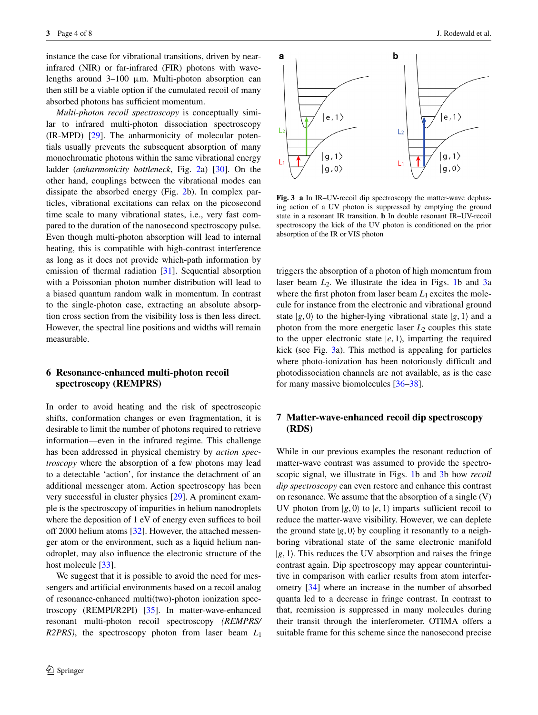instance the case for vibrational transitions, driven by nearinfrared (NIR) or far-infrared (FIR) photons with wavelengths around 3–100 μm. Multi-photon absorption can then still be a viable option if the cumulated recoil of many absorbed photons has sufficient momentum.

*Multi-photon recoil spectroscopy* is conceptually similar to infrared multi-photon dissociation spectroscopy (IR-MPD) [\[29](#page-6-26)]. The anharmonicity of molecular potentials usually prevents the subsequent absorption of many monochromatic photons within the same vibrational energy ladder (*anharmonicity bottleneck*, Fig. [2](#page-2-1)a) [[30\]](#page-6-27). On the other hand, couplings between the vibrational modes can dissipate the absorbed energy (Fig. [2b](#page-2-1)). In complex particles, vibrational excitations can relax on the picosecond time scale to many vibrational states, i.e., very fast compared to the duration of the nanosecond spectroscopy pulse. Even though multi-photon absorption will lead to internal heating, this is compatible with high-contrast interference as long as it does not provide which-path information by emission of thermal radiation [[31\]](#page-6-28). Sequential absorption with a Poissonian photon number distribution will lead to a biased quantum random walk in momentum. In contrast to the single-photon case, extracting an absolute absorption cross section from the visibility loss is then less direct. However, the spectral line positions and widths will remain measurable.

## <span id="page-3-0"></span>**6 Resonance‑enhanced multi‑photon recoil spectroscopy (REMPRS)**

In order to avoid heating and the risk of spectroscopic shifts, conformation changes or even fragmentation, it is desirable to limit the number of photons required to retrieve information—even in the infrared regime. This challenge has been addressed in physical chemistry by *action spectroscopy* where the absorption of a few photons may lead to a detectable 'action', for instance the detachment of an additional messenger atom. Action spectroscopy has been very successful in cluster physics [[29\]](#page-6-26). A prominent example is the spectroscopy of impurities in helium nanodroplets where the deposition of 1 eV of energy even suffices to boil off 2000 helium atoms [\[32](#page-6-29)]. However, the attached messenger atom or the environment, such as a liquid helium nanodroplet, may also influence the electronic structure of the host molecule [[33\]](#page-6-30).

We suggest that it is possible to avoid the need for messengers and artificial environments based on a recoil analog of resonance-enhanced multi(two)-photon ionization spectroscopy (REMPI/R2PI) [[35\]](#page-6-31). In matter-wave-enhanced resonant multi-photon recoil spectroscopy *(REMPRS/ R2PRS)*, the spectroscopy photon from laser beam *L*<sup>1</sup>



<span id="page-3-2"></span>**Fig. 3 a** In IR–UV-recoil dip spectroscopy the matter-wave dephasing action of a UV photon is suppressed by emptying the ground state in a resonant IR transition. **b** In double resonant IR–UV-recoil spectroscopy the kick of the UV photon is conditioned on the prior absorption of the IR or VIS photon

triggers the absorption of a photon of high momentum from laser beam *L*2. We illustrate the idea in Figs. [1b](#page-2-0) and [3a](#page-3-2) where the first photon from laser beam  $L_1$  excites the molecule for instance from the electronic and vibrational ground state  $|g, 0\rangle$  to the higher-lying vibrational state  $|g, 1\rangle$  and a photon from the more energetic laser  $L_2$  couples this state to the upper electronic state  $|e, 1\rangle$ , imparting the required kick (see Fig. [3a](#page-3-2)). This method is appealing for particles where photo-ionization has been notoriously difficult and photodissociation channels are not available, as is the case for many massive biomolecules [\[36](#page-6-32)[–38](#page-7-0)].

# <span id="page-3-1"></span>**7 Matter‑wave‑enhanced recoil dip spectroscopy (RDS)**

While in our previous examples the resonant reduction of matter-wave contrast was assumed to provide the spectroscopic signal, we illustrate in Figs. [1b](#page-2-0) and [3b](#page-3-2) how *recoil dip spectroscopy* can even restore and enhance this contrast on resonance. We assume that the absorption of a single (V) UV photon from  $|g, 0\rangle$  to  $|e, 1\rangle$  imparts sufficient recoil to reduce the matter-wave visibility. However, we can deplete the ground state  $|g, 0\rangle$  by coupling it resonantly to a neighboring vibrational state of the same electronic manifold  $|g, 1\rangle$ . This reduces the UV absorption and raises the fringe contrast again. Dip spectroscopy may appear counterintuitive in comparison with earlier results from atom interferometry [\[34](#page-6-33)] where an increase in the number of absorbed quanta led to a decrease in fringe contrast. In contrast to that, reemission is suppressed in many molecules during their transit through the interferometer. OTIMA offers a suitable frame for this scheme since the nanosecond precise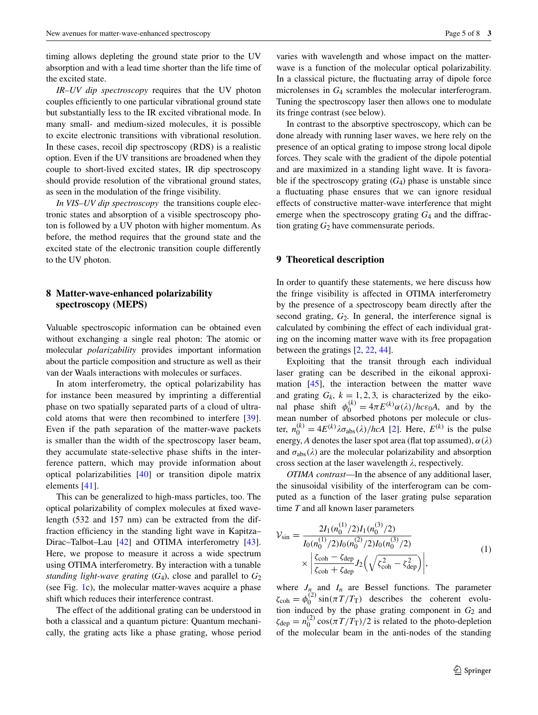timing allows depleting the ground state prior to the UV absorption and with a lead time shorter than the life time of the excited state.

*IR–UV dip spectroscopy* requires that the UV photon couples efficiently to one particular vibrational ground state but substantially less to the IR excited vibrational mode. In many small- and medium-sized molecules, it is possible to excite electronic transitions with vibrational resolution. In these cases, recoil dip spectroscopy (RDS) is a realistic option. Even if the UV transitions are broadened when they couple to short-lived excited states, IR dip spectroscopy should provide resolution of the vibrational ground states, as seen in the modulation of the fringe visibility.

*In VIS–UV dip spectroscopy* the transitions couple electronic states and absorption of a visible spectroscopy photon is followed by a UV photon with higher momentum. As before, the method requires that the ground state and the excited state of the electronic transition couple differently to the UV photon.

### <span id="page-4-0"></span>**8 Matter‑wave‑enhanced polarizability spectroscopy (MEPS)**

Valuable spectroscopic information can be obtained even without exchanging a single real photon: The atomic or molecular *polarizability* provides important information about the particle composition and structure as well as their van der Waals interactions with molecules or surfaces.

In atom interferometry, the optical polarizability has for instance been measured by imprinting a differential phase on two spatially separated parts of a cloud of ultracold atoms that were then recombined to interfere [[39](#page-7-1)]. Even if the path separation of the matter-wave packets is smaller than the width of the spectroscopy laser beam, they accumulate state-selective phase shifts in the interference pattern, which may provide information about optical polarizabilities [\[40](#page-7-2)] or transition dipole matrix elements [\[41\]](#page-7-3).

This can be generalized to high-mass particles, too. The optical polarizability of complex molecules at fixed wavelength (532 and 157 nm) can be extracted from the diffraction efficiency in the standing light wave in Kapitza– Dirac–Talbot–Lau [\[42](#page-7-4)] and OTIMA interferometry [\[43](#page-7-5)]. Here, we propose to measure it across a wide spectrum using OTIMA interferometry. By interaction with a tunable *standing light-wave grating*  $(G_4)$ , close and parallel to  $G_2$ (see Fig. [1](#page-2-0)c), the molecular matter-waves acquire a phase shift which reduces their interference contrast.

The effect of the additional grating can be understood in both a classical and a quantum picture: Quantum mechanically, the grating acts like a phase grating, whose period

varies with wavelength and whose impact on the matterwave is a function of the molecular optical polarizability. In a classical picture, the fluctuating array of dipole force microlenses in *G*4 scrambles the molecular interferogram. Tuning the spectroscopy laser then allows one to modulate its fringe contrast (see below).

In contrast to the absorptive spectroscopy, which can be done already with running laser waves, we here rely on the presence of an optical grating to impose strong local dipole forces. They scale with the gradient of the dipole potential and are maximized in a standing light wave. It is favorable if the spectroscopy grating  $(G_4)$  phase is unstable since a fluctuating phase ensures that we can ignore residual effects of constructive matter-wave interference that might emerge when the spectroscopy grating *G*4 and the diffraction grating *G*2 have commensurate periods.

#### **9 Theoretical description**

In order to quantify these statements, we here discuss how the fringe visibility is affected in OTIMA interferometry by the presence of a spectroscopy beam directly after the second grating,  $G_2$ . In general, the interference signal is calculated by combining the effect of each individual grating on the incoming matter wave with its free propagation between the gratings [[2,](#page-6-1) [22,](#page-6-17) [44\]](#page-7-6).

Exploiting that the transit through each individual laser grating can be described in the eikonal approximation [[45\]](#page-7-7), the interaction between the matter wave and grating  $G_k$ ,  $k = 1, 2, 3$ , is characterized by the eikonal phase shift  $\phi_0^{(k)} = 4\pi E^{(k)} \alpha(\lambda) / h c \epsilon_0 A$ , and by the mean number of absorbed photons per molecule or cluster,  $n_0^{(k)} = 4E^{(k)}\lambda \sigma_{\text{abs}}(\lambda)/h cA$  [[2\]](#page-6-1). Here,  $E^{(k)}$  is the pulse energy, *A* denotes the laser spot area (flat top assumed),  $\alpha(\lambda)$ and  $\sigma_{\text{abs}}(\lambda)$  are the molecular polarizability and absorption cross section at the laser wavelength  $\lambda$ , respectively.

*OTIMA contrast*—In the absence of any additional laser, the sinusoidal visibility of the interferogram can be computed as a function of the laser grating pulse separation time *T* and all known laser parameters

<span id="page-4-1"></span>
$$
\mathcal{V}_{\sin} = \frac{2I_1(n_0^{(1)}/2)I_1(n_0^{(3)}/2)}{I_0(n_0^{(1)}/2)I_0(n_0^{(2)}/2)I_0(n_0^{(3)}/2)}
$$
  
 
$$
\times \left| \frac{\zeta_{\text{coh}} - \zeta_{\text{dep}}}{\zeta_{\text{coh}} + \zeta_{\text{dep}}} I_2\left(\sqrt{\zeta_{\text{coh}}^2 - \zeta_{\text{dep}}^2}\right) \right|,
$$
 (1)

where  $J_n$  and  $I_n$  are Bessel functions. The parameter  $\zeta_{\text{coh}} = \phi_0^{(2)} \sin(\pi T/T_T)$  describes the coherent evolution induced by the phase grating component in  $G_2$  and  $\zeta_{\text{dep}} = n_0^{(2)} \cos(\pi T/T_T)/2$  is related to the photo-depletion of the molecular beam in the anti-nodes of the standing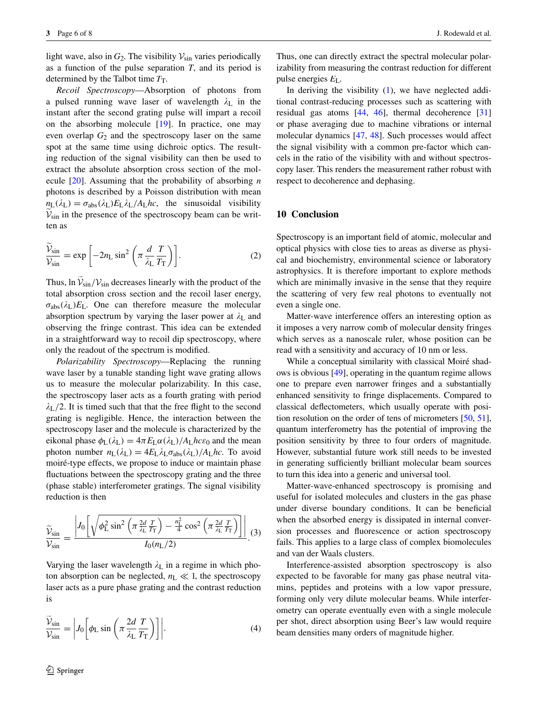light wave, also in  $G_2$ . The visibility  $V_{\text{sin}}$  varies periodically as a function of the pulse separation *T*, and its period is determined by the Talbot time  $T_T$ .

*Recoil Spectroscopy*—Absorption of photons from a pulsed running wave laser of wavelength  $\lambda_L$  in the instant after the second grating pulse will impart a recoil on the absorbing molecule [[19](#page-6-23)]. In practice, one may even overlap  $G_2$  and the spectroscopy laser on the same spot at the same time using dichroic optics. The resulting reduction of the signal visibility can then be used to extract the absolute absorption cross section of the molecule [[20\]](#page-6-19). Assuming that the probability of absorbing *n* photons is described by a Poisson distribution with mean  $n_L(\lambda_L) = \sigma_{\text{abs}}(\lambda_L) E_L \lambda_L / A_L \hbar c$ , the sinusoidal visibility  $V_{\text{sin}}$  in the presence of the spectroscopy beam can be written as

$$
\frac{\widetilde{\mathcal{V}}_{\sin}}{\mathcal{V}_{\sin}} = \exp\left[-2n_{\text{L}}\sin^2\left(\pi\frac{d}{\lambda_{\text{L}}}\frac{T}{T_{\text{T}}}\right)\right].\tag{2}
$$

Thus, ln  $V_{\text{sin}}/V_{\text{sin}}$  decreases linearly with the product of the total absorption cross section and the recoil laser energy,  $\sigma_{\text{abs}}(\lambda_L)E_L$ . One can therefore measure the molecular absorption spectrum by varying the laser power at  $\lambda_{\rm L}$  and observing the fringe contrast. This idea can be extended in a straightforward way to recoil dip spectroscopy, where only the readout of the spectrum is modified.

*Polarizability Spectroscopy*—Replacing the running wave laser by a tunable standing light wave grating allows us to measure the molecular polarizability. In this case, the spectroscopy laser acts as a fourth grating with period  $\lambda_L/2$ . It is timed such that that the free flight to the second grating is negligible. Hence, the interaction between the spectroscopy laser and the molecule is characterized by the eikonal phase  $\phi_L(\lambda_L) = 4\pi E_L \alpha(\lambda_L)/A_L h c \epsilon_0$  and the mean photon number  $n_L(\lambda_L) = 4E_L\lambda_L\sigma_{abs}(\lambda_L)/A_Lhc$ . To avoid moiré-type effects, we propose to induce or maintain phase fluctuations between the spectroscopy grating and the three (phase stable) interferometer gratings. The signal visibility reduction is then

$$
\frac{\widetilde{\mathcal{V}}_{\sin}}{\mathcal{V}_{\sin}} = \frac{\left|J_0\left[\sqrt{\phi_L^2 \sin^2\left(\pi \frac{2d}{\lambda_L} \frac{T}{T_T}\right) - \frac{n_L^2}{4} \cos^2\left(\pi \frac{2d}{\lambda_L} \frac{T}{T_T}\right)}\right]\right|}{I_0(n_L/2)}.
$$
(3)

Varying the laser wavelength  $\lambda_L$  in a regime in which photon absorption can be neglected,  $n_L \ll 1$ , the spectroscopy laser acts as a pure phase grating and the contrast reduction is

$$
\frac{\widetilde{V}_{\sin}}{V_{\sin}} = \left| J_0 \left[ \phi_L \sin \left( \pi \frac{2d}{\lambda_L} \frac{T}{T_T} \right) \right] \right|.
$$
\n(4)

Thus, one can directly extract the spectral molecular polarizability from measuring the contrast reduction for different pulse energies *E*L.

In deriving the visibility  $(1)$  $(1)$ , we have neglected additional contrast-reducing processes such as scattering with residual gas atoms [[44,](#page-7-6) [46\]](#page-7-8), thermal decoherence [[31\]](#page-6-28) or phase averaging due to machine vibrations or internal molecular dynamics [\[47](#page-7-9), [48\]](#page-7-10). Such processes would affect the signal visibility with a common pre-factor which cancels in the ratio of the visibility with and without spectroscopy laser. This renders the measurement rather robust with respect to decoherence and dephasing.

#### **10 Conclusion**

Spectroscopy is an important field of atomic, molecular and optical physics with close ties to areas as diverse as physical and biochemistry, environmental science or laboratory astrophysics. It is therefore important to explore methods which are minimally invasive in the sense that they require the scattering of very few real photons to eventually not even a single one.

Matter-wave interference offers an interesting option as it imposes a very narrow comb of molecular density fringes which serves as a nanoscale ruler, whose position can be read with a sensitivity and accuracy of 10 nm or less.

While a conceptual similarity with classical Moiré shadows is obvious [[49\]](#page-7-11), operating in the quantum regime allows one to prepare even narrower fringes and a substantially enhanced sensitivity to fringe displacements. Compared to classical deflectometers, which usually operate with position resolution on the order of tens of micrometers [\[50](#page-7-12), [51](#page-7-13)], quantum interferometry has the potential of improving the position sensitivity by three to four orders of magnitude. However, substantial future work still needs to be invested in generating sufficiently brilliant molecular beam sources to turn this idea into a generic and universal tool.

Matter-wave-enhanced spectroscopy is promising and useful for isolated molecules and clusters in the gas phase under diverse boundary conditions. It can be beneficial when the absorbed energy is dissipated in internal conversion processes and fluorescence or action spectroscopy fails. This applies to a large class of complex biomolecules and van der Waals clusters.

Interference-assisted absorption spectroscopy is also expected to be favorable for many gas phase neutral vitamins, peptides and proteins with a low vapor pressure, forming only very dilute molecular beams. While interferometry can operate eventually even with a single molecule per shot, direct absorption using Beer's law would require beam densities many orders of magnitude higher.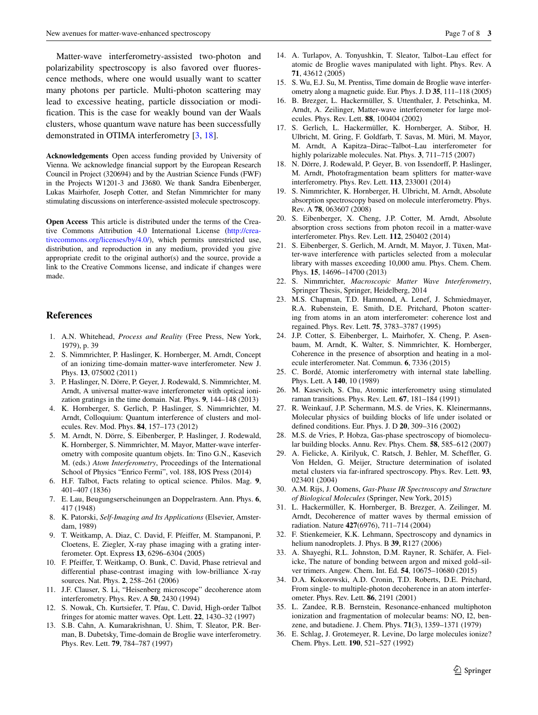Matter-wave interferometry-assisted two-photon and polarizability spectroscopy is also favored over fluorescence methods, where one would usually want to scatter many photons per particle. Multi-photon scattering may lead to excessive heating, particle dissociation or modification. This is the case for weakly bound van der Waals clusters, whose quantum wave nature has been successfully demonstrated in OTIMA interferometry [\[3](#page-6-2), [18](#page-6-15)].

**Acknowledgements** Open access funding provided by University of Vienna. We acknowledge financial support by the European Research Council in Project (320694) and by the Austrian Science Funds (FWF) in the Projects W1201-3 and J3680. We thank Sandra Eibenberger, Lukas Mairhofer, Joseph Cotter, and Stefan Nimmrichter for many stimulating discussions on interference-assisted molecule spectroscopy.

**Open Access** This article is distributed under the terms of the Creative Commons Attribution 4.0 International License ([http://crea](http://creativecommons.org/licenses/by/4.0/)[tivecommons.org/licenses/by/4.0/](http://creativecommons.org/licenses/by/4.0/)), which permits unrestricted use, distribution, and reproduction in any medium, provided you give appropriate credit to the original author(s) and the source, provide a link to the Creative Commons license, and indicate if changes were made.

#### **References**

- <span id="page-6-0"></span>1. A.N. Whitehead, *Process and Reality* (Free Press, New York, 1979), p. 39
- <span id="page-6-1"></span>2. S. Nimmrichter, P. Haslinger, K. Hornberger, M. Arndt, Concept of an ionizing time-domain matter-wave interferometer. New J. Phys. **13**, 075002 (2011)
- <span id="page-6-2"></span>3. P. Haslinger, N. Dörre, P. Geyer, J. Rodewald, S. Nimmrichter, M. Arndt, A universal matter-wave interferometer with optical ionization gratings in the time domain. Nat. Phys. **9**, 144–148 (2013)
- <span id="page-6-3"></span>4. K. Hornberger, S. Gerlich, P. Haslinger, S. Nimmrichter, M. Arndt, Colloquium: Quantum interference of clusters and molecules. Rev. Mod. Phys. **84**, 157–173 (2012)
- <span id="page-6-4"></span>5. M. Arndt, N. Dörre, S. Eibenberger, P. Haslinger, J. Rodewald, K. Hornberger, S. Nimmrichter, M. Mayor, Matter-wave interferometry with composite quantum objets. In: Tino G.N., Kasevich M. (eds.) *Atom Interferometry*, Proceedings of the International School of Physics "Enrico Fermi", vol. 188, IOS Press (2014)
- <span id="page-6-5"></span>6. H.F. Talbot, Facts relating to optical science. Philos. Mag. **9**, 401–407 (1836)
- <span id="page-6-6"></span>7. E. Lau, Beugungserscheinungen an Doppelrastern. Ann. Phys. **6**, 417 (1948)
- <span id="page-6-7"></span>8. K. Patorski, *Self-Imaging and Its Applications* (Elsevier, Amsterdam, 1989)
- <span id="page-6-8"></span>9. T. Weitkamp, A. Diaz, C. David, F. Pfeiffer, M. Stampanoni, P. Cloetens, E. Ziegler, X-ray phase imaging with a grating interferometer. Opt. Express **13**, 6296–6304 (2005)
- <span id="page-6-9"></span>10. F. Pfeiffer, T. Weitkamp, O. Bunk, C. David, Phase retrieval and differential phase-contrast imaging with low-brilliance X-ray sources. Nat. Phys. **2**, 258–261 (2006)
- <span id="page-6-10"></span>11. J.F. Clauser, S. Li, "Heisenberg microscope" decoherence atom interferometry. Phys. Rev. A **50**, 2430 (1994)
- <span id="page-6-11"></span>12. S. Nowak, Ch. Kurtsiefer, T. Pfau, C. David, High-order Talbot fringes for atomic matter waves. Opt. Lett. **22**, 1430–32 (1997)
- <span id="page-6-12"></span>13. S.B. Cahn, A. Kumarakrishnan, U. Shim, T. Sleator, P.R. Berman, B. Dubetsky, Time-domain de Broglie wave interferometry. Phys. Rev. Lett. **79**, 784–787 (1997)
- 14. A. Turlapov, A. Tonyushkin, T. Sleator, Talbot–Lau effect for atomic de Broglie waves manipulated with light. Phys. Rev. A **71**, 43612 (2005)
- <span id="page-6-13"></span>15. S. Wu, E.J. Su, M. Prentiss, Time domain de Broglie wave interferometry along a magnetic guide. Eur. Phys. J. D **35**, 111–118 (2005)
- <span id="page-6-14"></span>16. B. Brezger, L. Hackermüller, S. Uttenthaler, J. Petschinka, M. Arndt, A. Zeilinger, Matter-wave interferometer for large molecules. Phys. Rev. Lett. **88**, 100404 (2002)
- 17. S. Gerlich, L. Hackermüller, K. Hornberger, A. Stibor, H. Ulbricht, M. Gring, F. Goldfarb, T. Savas, M. Müri, M. Mayor, M. Arndt, A Kapitza–Dirac–Talbot–Lau interferometer for highly polarizable molecules. Nat. Phys. **3**, 711–715 (2007)
- <span id="page-6-15"></span>18. N. Dörre, J. Rodewald, P. Geyer, B. von Issendorff, P. Haslinger, M. Arndt, Photofragmentation beam splitters for matter-wave interferometry. Phys. Rev. Lett. **113**, 233001 (2014)
- <span id="page-6-23"></span>19. S. Nimmrichter, K. Hornberger, H. Ulbricht, M. Arndt, Absolute absorption spectroscopy based on molecule interferometry. Phys. Rev. A **78**, 063607 (2008)
- <span id="page-6-19"></span>20. S. Eibenberger, X. Cheng, J.P. Cotter, M. Arndt, Absolute absorption cross sections from photon recoil in a matter-wave interferometer. Phys. Rev. Lett. **112**, 250402 (2014)
- <span id="page-6-16"></span>21. S. Eibenberger, S. Gerlich, M. Arndt, M. Mayor, J. Tüxen, Matter-wave interference with particles selected from a molecular library with masses exceeding 10,000 amu. Phys. Chem. Chem. Phys. **15**, 14696–14700 (2013)
- <span id="page-6-17"></span>22. S. Nimmrichter, *Macroscopic Matter Wave Interferometry*, Springer Thesis, Springer, Heidelberg, 2014
- <span id="page-6-18"></span>23. M.S. Chapman, T.D. Hammond, A. Lenef, J. Schmiedmayer, R.A. Rubenstein, E. Smith, D.E. Pritchard, Photon scattering from atoms in an atom interferometer: coherence lost and regained. Phys. Rev. Lett. **75**, 3783–3787 (1995)
- <span id="page-6-20"></span>24. J.P. Cotter, S. Eibenberger, L. Mairhofer, X. Cheng, P. Asenbaum, M. Arndt, K. Walter, S. Nimmrichter, K. Hornberger, Coherence in the presence of absorption and heating in a molecule interferometer. Nat. Commun. **6**, 7336 (2015)
- <span id="page-6-21"></span>25. C. Bordé, Atomic interferometry with internal state labelling. Phys. Lett. A **140**, 10 (1989)
- <span id="page-6-22"></span>26. M. Kasevich, S. Chu, Atomic interferometry using stimulated raman transitions. Phys. Rev. Lett. **67**, 181–184 (1991)
- <span id="page-6-24"></span>27. R. Weinkauf, J.P. Schermann, M.S. de Vries, K. Kleinermanns, Molecular physics of building blocks of life under isolated or defined conditions. Eur. Phys. J. D **20**, 309–316 (2002)
- <span id="page-6-25"></span>28. M.S. de Vries, P. Hobza, Gas-phase spectroscopy of biomolecular building blocks. Annu. Rev. Phys. Chem. **58**, 585–612 (2007)
- <span id="page-6-26"></span>29. A. Fielicke, A. Kirilyuk, C. Ratsch, J. Behler, M. Scheffler, G. Von Helden, G. Meijer, Structure determination of isolated metal clusters via far-infrared spectroscopy. Phys. Rev. Lett. **93**, 023401 (2004)
- <span id="page-6-27"></span>30. A.M. Rijs, J. Oomens, *Gas-Phase IR Spectroscopy and Structure of Biological Molecules* (Springer, New York, 2015)
- <span id="page-6-28"></span>31. L. Hackermüller, K. Hornberger, B. Brezger, A. Zeilinger, M. Arndt, Decoherence of matter waves by thermal emission of radiation. Nature **427**(6976), 711–714 (2004)
- <span id="page-6-29"></span>32. F. Stienkemeier, K.K. Lehmann, Spectroscopy and dynamics in helium nanodroplets. J. Phys. B **39**, R127 (2006)
- <span id="page-6-30"></span>33. A. Shayeghi, R.L. Johnston, D.M. Rayner, R. Schäfer, A. Fielicke, The nature of bonding between argon and mixed gold–silver trimers. Angew. Chem. Int. Ed. **54**, 10675–10680 (2015)
- <span id="page-6-33"></span>34. D.A. Kokorowski, A.D. Cronin, T.D. Roberts, D.E. Pritchard, From single- to multiple-photon decoherence in an atom interferometer. Phys. Rev. Lett. **86**, 2191 (2001)
- <span id="page-6-31"></span>35. L. Zandee, R.B. Bernstein, Resonance-enhanced multiphoton ionization and fragmentation of molecular beams: NO, I2, benzene, and butadiene. J. Chem. Phys. **71**(3), 1359–1371 (1979)
- <span id="page-6-32"></span>36. E. Schlag, J. Grotemeyer, R. Levine, Do large molecules ionize? Chem. Phys. Lett. **190**, 521–527 (1992)